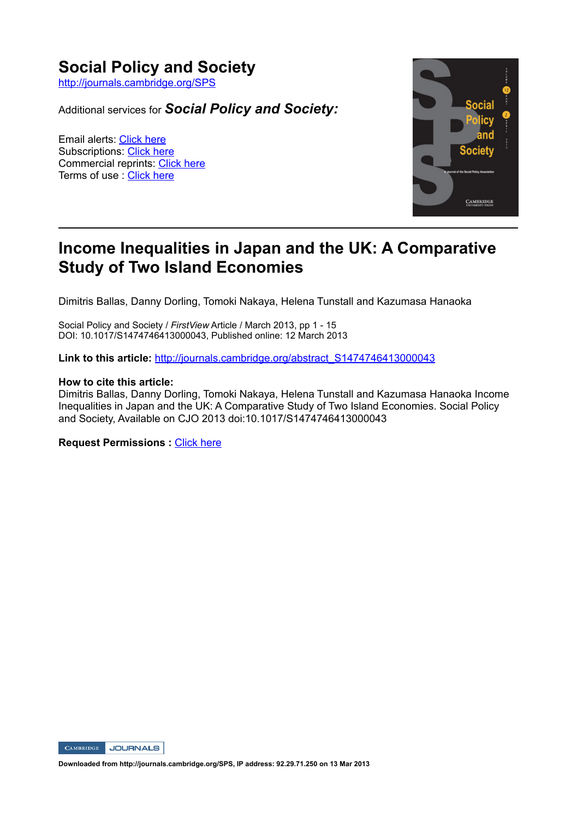## **Social Policy and Society**

http://journals.cambridge.org/SPS

Additional services for *Social Policy and Society:*

Email alerts: Click here Subscriptions: Click here Commercial reprints: Click here Terms of use : Click here



# **Income Inequalities in Japan and the UK: A Comparative Study of Two Island Economies**

Dimitris Ballas, Danny Dorling, Tomoki Nakaya, Helena Tunstall and Kazumasa Hanaoka

Social Policy and Society / *FirstView* Article / March 2013, pp 1 - 15 DOI: 10.1017/S1474746413000043, Published online: 12 March 2013

**Link to this article:** http://journals.cambridge.org/abstract\_S1474746413000043

#### **How to cite this article:**

Dimitris Ballas, Danny Dorling, Tomoki Nakaya, Helena Tunstall and Kazumasa Hanaoka Income Inequalities in Japan and the UK: A Comparative Study of Two Island Economies. Social Policy and Society, Available on CJO 2013 doi:10.1017/S1474746413000043

**Request Permissions : Click here** 



**Downloaded from http://journals.cambridge.org/SPS, IP address: 92.29.71.250 on 13 Mar 2013**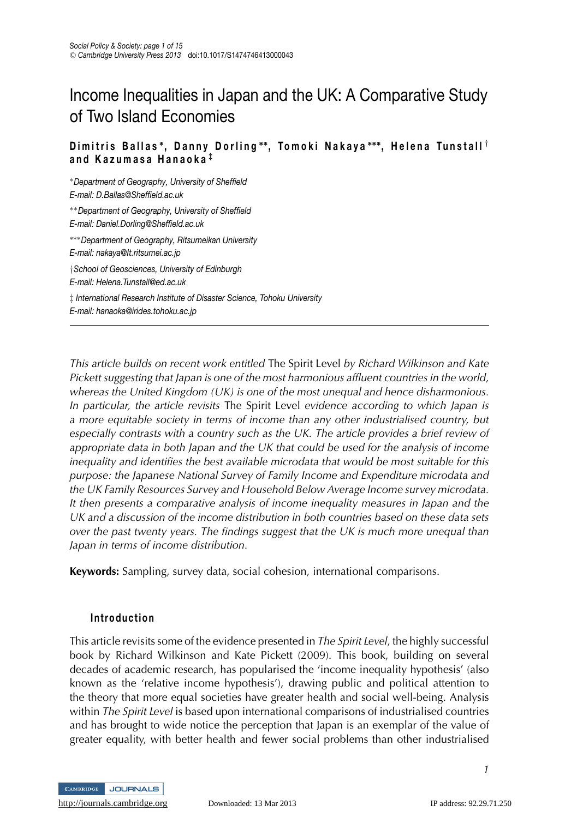# Income Inequalities in Japan and the UK: A Comparative Study of Two Island Economies

#### **Dimitris Ballas ∗, Danny Dorling ∗∗, Tomoki Naka ya ∗∗∗, Helena Tuns tall** *†* **and Kazumasa Hanaoka** *‡*

∗*Department of Geography, University of Sheffield E-mail: D.Ballas@Sheffield.ac.uk*

∗∗*Department of Geography, University of Sheffield E-mail: Daniel.Dorling@Sheffield.ac.uk*

∗∗∗*Department of Geography, Ritsumeikan University E-mail: nakaya@It.ritsumei.ac.jp* †*School of Geosciences, University of Edinburgh*

*E-mail: Helena.Tunstall@ed.ac.uk*

‡ *International Research Institute of Disaster Science, Tohoku University E-mail: hanaoka@irides.tohoku.ac.jp*

*This article builds on recent work entitled* The Spirit Level *by Richard Wilkinson and Kate Pickett suggesting that Japan is one of the most harmonious affluent countries in the world, whereas the United Kingdom (UK) is one of the most unequal and hence disharmonious. In particular, the article revisits* The Spirit Level *evidence according to which Japan is a more equitable society in terms of income than any other industrialised country, but especially contrasts with a country such as the UK. The article provides a brief review of appropriate data in both Japan and the UK that could be used for the analysis of income inequality and identifies the best available microdata that would be most suitable for this purpose: the Japanese National Survey of Family Income and Expenditure microdata and the UK Family Resources Survey and Household Below Average Income survey microdata. It then presents a comparative analysis of income inequality measures in Japan and the UK and a discussion of the income distribution in both countries based on these data sets over the past twenty years. The findings suggest that the UK is much more unequal than Japan in terms of income distribution.*

**Keywords:** Sampling, survey data, social cohesion, international comparisons.

## **Introduction**

This article revisits some of the evidence presented in *The Spirit Level*, the highly successful book by Richard Wilkinson and Kate Pickett (2009). This book, building on several decades of academic research, has popularised the 'income inequality hypothesis' (also known as the 'relative income hypothesis'), drawing public and political attention to the theory that more equal societies have greater health and social well-being. Analysis within *The Spirit Level* is based upon international comparisons of industrialised countries and has brought to wide notice the perception that Japan is an exemplar of the value of greater equality, with better health and fewer social problems than other industrialised

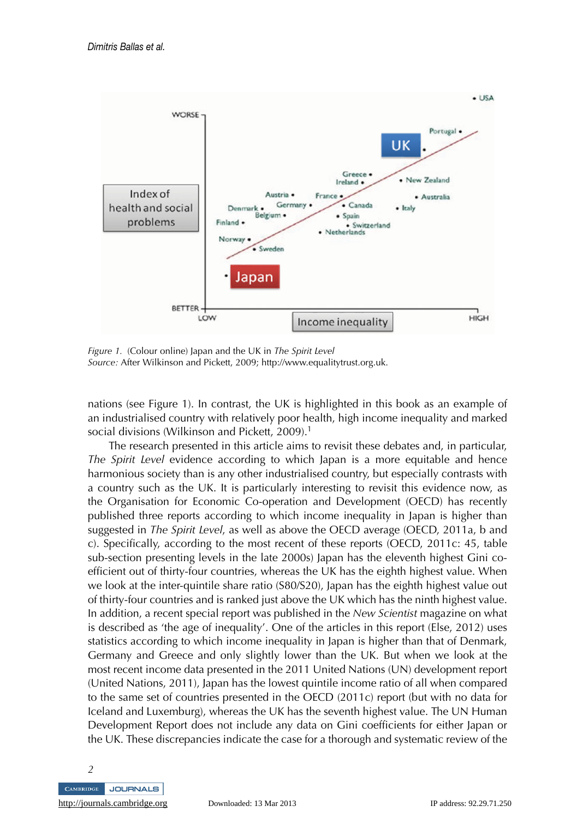

*Figure 1.* (Colour online) Japan and the UK in *The Spirit Level Source:* After Wilkinson and Pickett, 2009; http://www.equalitytrust.org.uk.

nations (see Figure 1). In contrast, the UK is highlighted in this book as an example of an industrialised country with relatively poor health, high income inequality and marked social divisions (Wilkinson and Pickett, 2009).<sup>1</sup>

The research presented in this article aims to revisit these debates and, in particular, *The Spirit Level* evidence according to which Japan is a more equitable and hence harmonious society than is any other industrialised country, but especially contrasts with a country such as the UK. It is particularly interesting to revisit this evidence now, as the Organisation for Economic Co-operation and Development (OECD) has recently published three reports according to which income inequality in Japan is higher than suggested in *The Spirit Level*, as well as above the OECD average (OECD, 2011a, b and c). Specifically, according to the most recent of these reports (OECD, 2011c: 45, table sub-section presenting levels in the late 2000s) Japan has the eleventh highest Gini coefficient out of thirty-four countries, whereas the UK has the eighth highest value. When we look at the inter-quintile share ratio (S80/S20), Japan has the eighth highest value out of thirty-four countries and is ranked just above the UK which has the ninth highest value. In addition, a recent special report was published in the *New Scientist* magazine on what is described as 'the age of inequality'. One of the articles in this report (Else, 2012) uses statistics according to which income inequality in Japan is higher than that of Denmark, Germany and Greece and only slightly lower than the UK. But when we look at the most recent income data presented in the 2011 United Nations (UN) development report (United Nations, 2011), Japan has the lowest quintile income ratio of all when compared to the same set of countries presented in the OECD (2011c) report (but with no data for Iceland and Luxemburg), whereas the UK has the seventh highest value. The UN Human Development Report does not include any data on Gini coefficients for either Japan or the UK. These discrepancies indicate the case for a thorough and systematic review of the

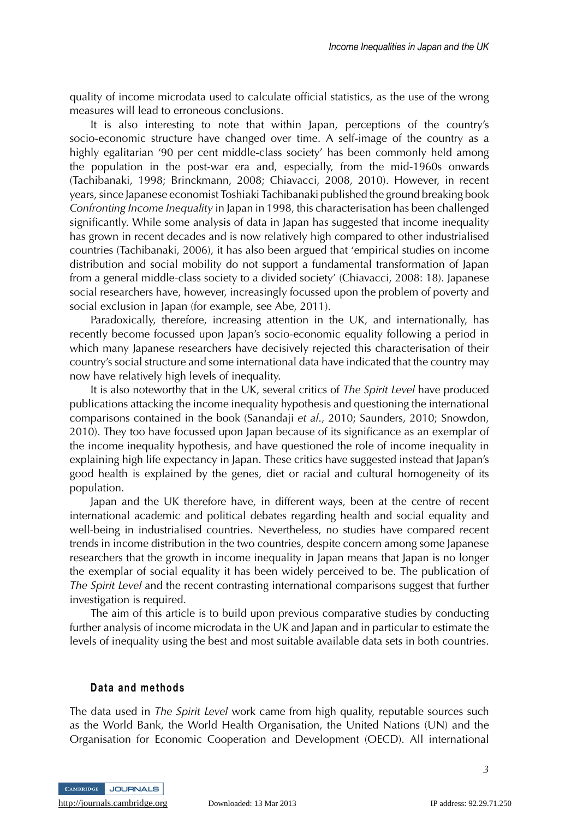quality of income microdata used to calculate official statistics, as the use of the wrong measures will lead to erroneous conclusions.

It is also interesting to note that within Japan, perceptions of the country's socio-economic structure have changed over time. A self-image of the country as a highly egalitarian '90 per cent middle-class society' has been commonly held among the population in the post-war era and, especially, from the mid-1960s onwards (Tachibanaki, 1998; Brinckmann, 2008; Chiavacci, 2008, 2010). However, in recent years, since Japanese economist Toshiaki Tachibanaki published the ground breaking book *Confronting Income Inequality* in Japan in 1998, this characterisation has been challenged significantly. While some analysis of data in Japan has suggested that income inequality has grown in recent decades and is now relatively high compared to other industrialised countries (Tachibanaki, 2006), it has also been argued that 'empirical studies on income distribution and social mobility do not support a fundamental transformation of Japan from a general middle-class society to a divided society' (Chiavacci, 2008: 18). Japanese social researchers have, however, increasingly focussed upon the problem of poverty and social exclusion in Japan (for example, see Abe, 2011).

Paradoxically, therefore, increasing attention in the UK, and internationally, has recently become focussed upon Japan's socio-economic equality following a period in which many Japanese researchers have decisively rejected this characterisation of their country's social structure and some international data have indicated that the country may now have relatively high levels of inequality.

It is also noteworthy that in the UK, several critics of *The Spirit Level* have produced publications attacking the income inequality hypothesis and questioning the international comparisons contained in the book (Sanandaji *et al*., 2010; Saunders, 2010; Snowdon, 2010). They too have focussed upon Japan because of its significance as an exemplar of the income inequality hypothesis, and have questioned the role of income inequality in explaining high life expectancy in Japan. These critics have suggested instead that Japan's good health is explained by the genes, diet or racial and cultural homogeneity of its population.

Japan and the UK therefore have, in different ways, been at the centre of recent international academic and political debates regarding health and social equality and well-being in industrialised countries. Nevertheless, no studies have compared recent trends in income distribution in the two countries, despite concern among some Japanese researchers that the growth in income inequality in Japan means that Japan is no longer the exemplar of social equality it has been widely perceived to be. The publication of *The Spirit Level* and the recent contrasting international comparisons suggest that further investigation is required.

The aim of this article is to build upon previous comparative studies by conducting further analysis of income microdata in the UK and Japan and in particular to estimate the levels of inequality using the best and most suitable available data sets in both countries.

#### **Data and methods**

The data used in *The Spirit Level* work came from high quality, reputable sources such as the World Bank, the World Health Organisation, the United Nations (UN) and the Organisation for Economic Cooperation and Development (OECD). All international

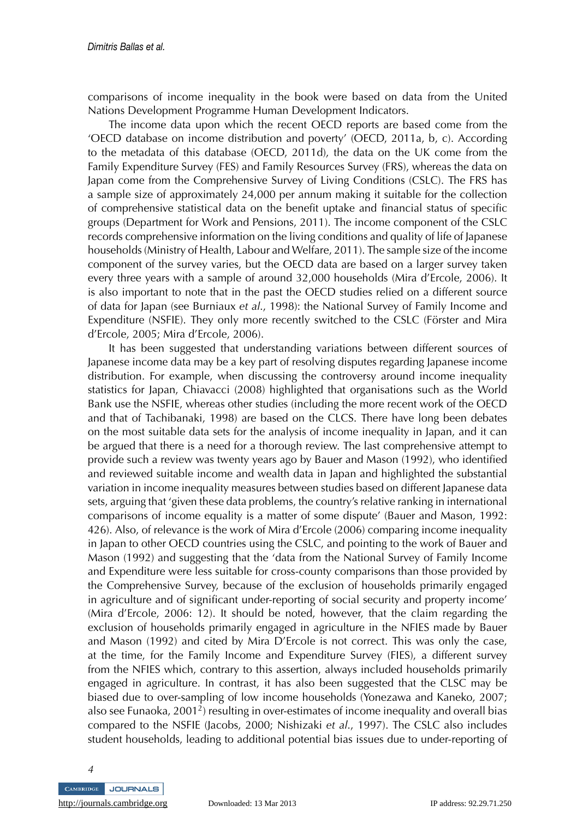comparisons of income inequality in the book were based on data from the United Nations Development Programme Human Development Indicators.

The income data upon which the recent OECD reports are based come from the 'OECD database on income distribution and poverty' (OECD, 2011a, b, c). According to the metadata of this database (OECD, 2011d), the data on the UK come from the Family Expenditure Survey (FES) and Family Resources Survey (FRS), whereas the data on Japan come from the Comprehensive Survey of Living Conditions (CSLC). The FRS has a sample size of approximately 24,000 per annum making it suitable for the collection of comprehensive statistical data on the benefit uptake and financial status of specific groups (Department for Work and Pensions, 2011). The income component of the CSLC records comprehensive information on the living conditions and quality of life of Japanese households (Ministry of Health, Labour and Welfare, 2011). The sample size of the income component of the survey varies, but the OECD data are based on a larger survey taken every three years with a sample of around 32,000 households (Mira d'Ercole, 2006). It is also important to note that in the past the OECD studies relied on a different source of data for Japan (see Burniaux *et al*., 1998): the National Survey of Family Income and Expenditure (NSFIE). They only more recently switched to the CSLC (Förster and Mira d'Ercole, 2005; Mira d'Ercole, 2006).

It has been suggested that understanding variations between different sources of Japanese income data may be a key part of resolving disputes regarding Japanese income distribution. For example, when discussing the controversy around income inequality statistics for Japan, Chiavacci (2008) highlighted that organisations such as the World Bank use the NSFIE, whereas other studies (including the more recent work of the OECD and that of Tachibanaki, 1998) are based on the CLCS. There have long been debates on the most suitable data sets for the analysis of income inequality in Japan, and it can be argued that there is a need for a thorough review. The last comprehensive attempt to provide such a review was twenty years ago by Bauer and Mason (1992), who identified and reviewed suitable income and wealth data in Japan and highlighted the substantial variation in income inequality measures between studies based on different Japanese data sets, arguing that 'given these data problems, the country's relative ranking in international comparisons of income equality is a matter of some dispute' (Bauer and Mason, 1992: 426). Also, of relevance is the work of Mira d'Ercole (2006) comparing income inequality in Japan to other OECD countries using the CSLC, and pointing to the work of Bauer and Mason (1992) and suggesting that the 'data from the National Survey of Family Income and Expenditure were less suitable for cross-county comparisons than those provided by the Comprehensive Survey, because of the exclusion of households primarily engaged in agriculture and of significant under-reporting of social security and property income' (Mira d'Ercole, 2006: 12). It should be noted, however, that the claim regarding the exclusion of households primarily engaged in agriculture in the NFIES made by Bauer and Mason (1992) and cited by Mira D'Ercole is not correct. This was only the case, at the time, for the Family Income and Expenditure Survey (FIES), a different survey from the NFIES which, contrary to this assertion, always included households primarily engaged in agriculture. In contrast, it has also been suggested that the CLSC may be biased due to over-sampling of low income households (Yonezawa and Kaneko, 2007; also see Funaoka, 2001<sup>2</sup>) resulting in over-estimates of income inequality and overall bias compared to the NSFIE (Jacobs, 2000; Nishizaki *et al*., 1997). The CSLC also includes student households, leading to additional potential bias issues due to under-reporting of

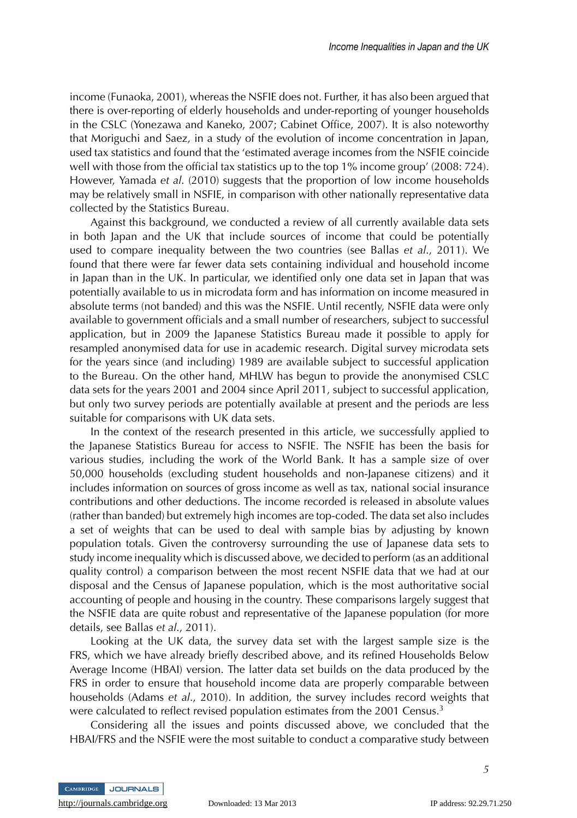income (Funaoka, 2001), whereas the NSFIE does not. Further, it has also been argued that there is over-reporting of elderly households and under-reporting of younger households in the CSLC (Yonezawa and Kaneko, 2007; Cabinet Office, 2007). It is also noteworthy that Moriguchi and Saez, in a study of the evolution of income concentration in Japan, used tax statistics and found that the 'estimated average incomes from the NSFIE coincide well with those from the official tax statistics up to the top 1% income group' (2008: 724). However, Yamada *et al*. (2010) suggests that the proportion of low income households may be relatively small in NSFIE, in comparison with other nationally representative data collected by the Statistics Bureau.

Against this background, we conducted a review of all currently available data sets in both Japan and the UK that include sources of income that could be potentially used to compare inequality between the two countries (see Ballas *et al*., 2011). We found that there were far fewer data sets containing individual and household income in Japan than in the UK. In particular, we identified only one data set in Japan that was potentially available to us in microdata form and has information on income measured in absolute terms (not banded) and this was the NSFIE. Until recently, NSFIE data were only available to government officials and a small number of researchers, subject to successful application, but in 2009 the Japanese Statistics Bureau made it possible to apply for resampled anonymised data for use in academic research. Digital survey microdata sets for the years since (and including) 1989 are available subject to successful application to the Bureau. On the other hand, MHLW has begun to provide the anonymised CSLC data sets for the years 2001 and 2004 since April 2011, subject to successful application, but only two survey periods are potentially available at present and the periods are less suitable for comparisons with UK data sets.

In the context of the research presented in this article, we successfully applied to the Japanese Statistics Bureau for access to NSFIE. The NSFIE has been the basis for various studies, including the work of the World Bank. It has a sample size of over 50,000 households (excluding student households and non-Japanese citizens) and it includes information on sources of gross income as well as tax, national social insurance contributions and other deductions. The income recorded is released in absolute values (rather than banded) but extremely high incomes are top-coded. The data set also includes a set of weights that can be used to deal with sample bias by adjusting by known population totals. Given the controversy surrounding the use of Japanese data sets to study income inequality which is discussed above, we decided to perform (as an additional quality control) a comparison between the most recent NSFIE data that we had at our disposal and the Census of Japanese population, which is the most authoritative social accounting of people and housing in the country. These comparisons largely suggest that the NSFIE data are quite robust and representative of the Japanese population (for more details, see Ballas *et al*., 2011).

Looking at the UK data, the survey data set with the largest sample size is the FRS, which we have already briefly described above, and its refined Households Below Average Income (HBAI) version. The latter data set builds on the data produced by the FRS in order to ensure that household income data are properly comparable between households (Adams *et al*., 2010). In addition, the survey includes record weights that were calculated to reflect revised population estimates from the 2001 Census.<sup>3</sup>

Considering all the issues and points discussed above, we concluded that the HBAI/FRS and the NSFIE were the most suitable to conduct a comparative study between

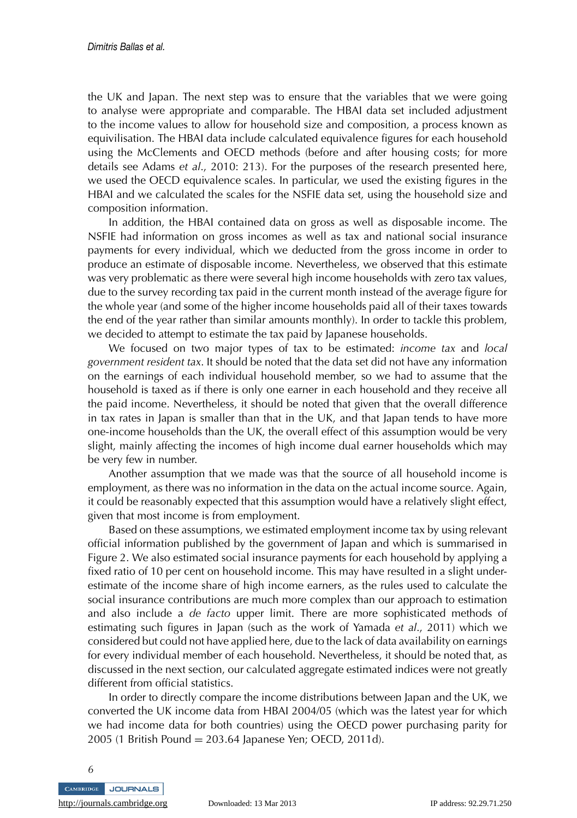the UK and Japan. The next step was to ensure that the variables that we were going to analyse were appropriate and comparable. The HBAI data set included adjustment to the income values to allow for household size and composition, a process known as equivilisation. The HBAI data include calculated equivalence figures for each household using the McClements and OECD methods (before and after housing costs; for more details see Adams *et al*., 2010: 213). For the purposes of the research presented here, we used the OECD equivalence scales. In particular, we used the existing figures in the HBAI and we calculated the scales for the NSFIE data set, using the household size and composition information.

In addition, the HBAI contained data on gross as well as disposable income. The NSFIE had information on gross incomes as well as tax and national social insurance payments for every individual, which we deducted from the gross income in order to produce an estimate of disposable income. Nevertheless, we observed that this estimate was very problematic as there were several high income households with zero tax values, due to the survey recording tax paid in the current month instead of the average figure for the whole year (and some of the higher income households paid all of their taxes towards the end of the year rather than similar amounts monthly). In order to tackle this problem, we decided to attempt to estimate the tax paid by Japanese households.

We focused on two major types of tax to be estimated: *income tax* and *local government resident tax*. It should be noted that the data set did not have any information on the earnings of each individual household member, so we had to assume that the household is taxed as if there is only one earner in each household and they receive all the paid income. Nevertheless, it should be noted that given that the overall difference in tax rates in Japan is smaller than that in the UK, and that Japan tends to have more one-income households than the UK, the overall effect of this assumption would be very slight, mainly affecting the incomes of high income dual earner households which may be very few in number.

Another assumption that we made was that the source of all household income is employment, as there was no information in the data on the actual income source. Again, it could be reasonably expected that this assumption would have a relatively slight effect, given that most income is from employment.

Based on these assumptions, we estimated employment income tax by using relevant official information published by the government of Japan and which is summarised in Figure 2. We also estimated social insurance payments for each household by applying a fixed ratio of 10 per cent on household income. This may have resulted in a slight underestimate of the income share of high income earners, as the rules used to calculate the social insurance contributions are much more complex than our approach to estimation and also include a *de facto* upper limit. There are more sophisticated methods of estimating such figures in Japan (such as the work of Yamada *et al*., 2011) which we considered but could not have applied here, due to the lack of data availability on earnings for every individual member of each household. Nevertheless, it should be noted that, as discussed in the next section, our calculated aggregate estimated indices were not greatly different from official statistics.

In order to directly compare the income distributions between Japan and the UK, we converted the UK income data from HBAI 2004/05 (which was the latest year for which we had income data for both countries) using the OECD power purchasing parity for 2005 (1 British Pound = 203.64 Japanese Yen; OECD, 2011d).



<http://journals.cambridge.org> Downloaded: 13 Mar 2013 IP address: 92.29.71.250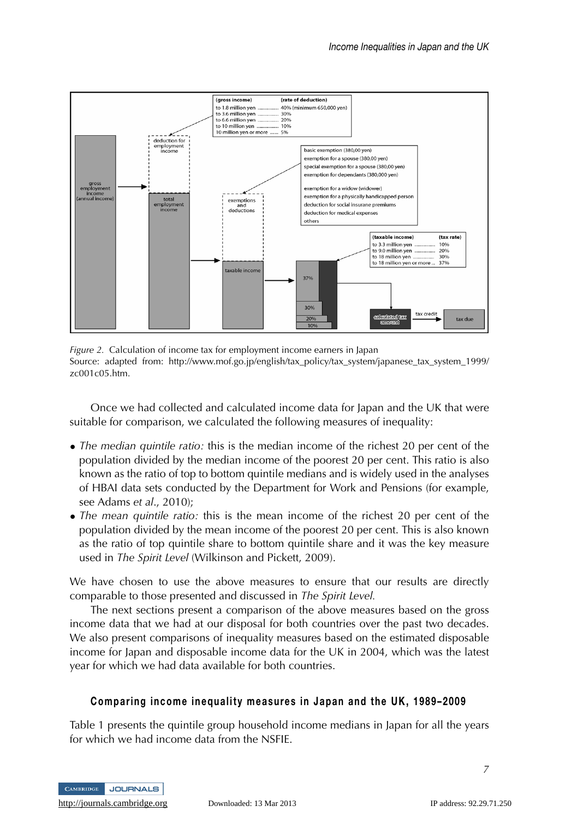

*Figure 2.* Calculation of income tax for employment income earners in Japan Source: adapted from: http://www.mof.go.jp/english/tax\_policy/tax\_system/japanese\_tax\_system\_1999/ zc001c05.htm.

Once we had collected and calculated income data for Japan and the UK that were suitable for comparison, we calculated the following measures of inequality:

- *The median quintile ratio:* this is the median income of the richest 20 per cent of the population divided by the median income of the poorest 20 per cent. This ratio is also known as the ratio of top to bottom quintile medians and is widely used in the analyses of HBAI data sets conducted by the Department for Work and Pensions (for example, see Adams *et al*., 2010);
- *The mean quintile ratio:* this is the mean income of the richest 20 per cent of the population divided by the mean income of the poorest 20 per cent. This is also known as the ratio of top quintile share to bottom quintile share and it was the key measure used in *The Spirit Level* (Wilkinson and Pickett, 2009).

We have chosen to use the above measures to ensure that our results are directly comparable to those presented and discussed in *The Spirit Level.*

The next sections present a comparison of the above measures based on the gross income data that we had at our disposal for both countries over the past two decades. We also present comparisons of inequality measures based on the estimated disposable income for Japan and disposable income data for the UK in 2004, which was the latest year for which we had data available for both countries.

## **Comparing income inequality measures in Japan and the UK, 1989–2009**

Table 1 presents the quintile group household income medians in Japan for all the years for which we had income data from the NSFIE.



<http://journals.cambridge.org> Downloaded: 13 Mar 2013 IP address: 92.29.71.250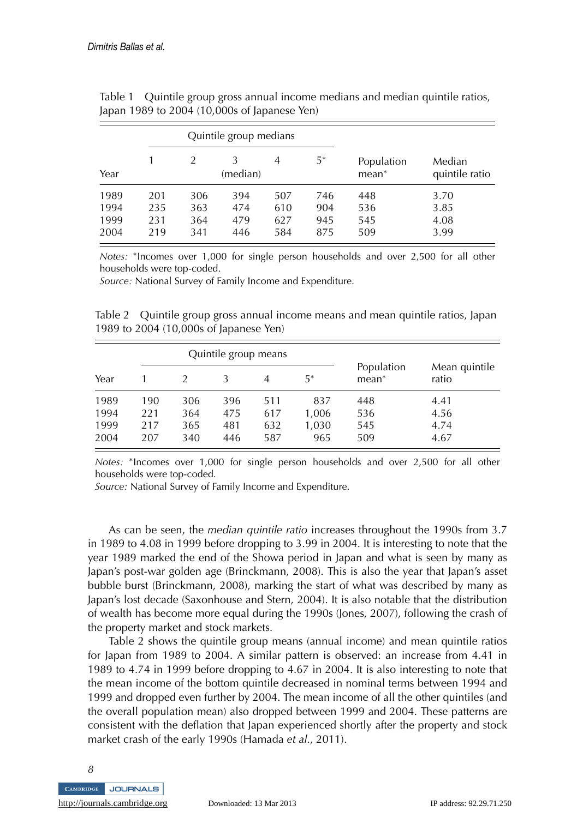|                              |                          |                          | Quintile group medians   |                          |                          |                          |                              |
|------------------------------|--------------------------|--------------------------|--------------------------|--------------------------|--------------------------|--------------------------|------------------------------|
| Year                         |                          |                          | 3<br>(median)            | 4                        | 5*                       | Population<br>$mean^*$   | Median<br>quintile ratio     |
| 1989<br>1994<br>1999<br>2004 | 201<br>235<br>231<br>219 | 306<br>363<br>364<br>341 | 394<br>474<br>479<br>446 | 507<br>610<br>627<br>584 | 746<br>904<br>945<br>875 | 448<br>536<br>545<br>509 | 3.70<br>3.85<br>4.08<br>3.99 |

Table 1 Quintile group gross annual income medians and median quintile ratios, Japan 1989 to 2004 (10,000s of Japanese Yen)

*Notes:* <sup>∗</sup>Incomes over 1,000 for single person households and over 2,500 for all other households were top-coded.

*Source:* National Survey of Family Income and Expenditure.

Table 2 Quintile group gross annual income means and mean quintile ratios, Japan 1989 to 2004 (10,000s of Japanese Yen)

|                              |                          |                          | Quintile group means     |                          |                              |                          |                              |
|------------------------------|--------------------------|--------------------------|--------------------------|--------------------------|------------------------------|--------------------------|------------------------------|
| Year                         |                          |                          |                          | 4                        | 5*                           | Population<br>$mean^*$   | Mean quintile<br>ratio       |
| 1989<br>1994<br>1999<br>2004 | 190<br>221<br>217<br>207 | 306<br>364<br>365<br>340 | 396<br>475<br>481<br>446 | 511<br>617<br>632<br>587 | 837<br>1,006<br>1,030<br>965 | 448<br>536<br>545<br>509 | 4.41<br>4.56<br>4.74<br>4.67 |

*Notes:* \*Incomes over 1,000 for single person households and over 2,500 for all other households were top-coded.

*Source:* National Survey of Family Income and Expenditure.

As can be seen, the *median quintile ratio* increases throughout the 1990s from 3.7 in 1989 to 4.08 in 1999 before dropping to 3.99 in 2004. It is interesting to note that the year 1989 marked the end of the Showa period in Japan and what is seen by many as Japan's post-war golden age (Brinckmann, 2008). This is also the year that Japan's asset bubble burst (Brinckmann, 2008), marking the start of what was described by many as Japan's lost decade (Saxonhouse and Stern, 2004). It is also notable that the distribution of wealth has become more equal during the 1990s (Jones, 2007), following the crash of the property market and stock markets.

Table 2 shows the quintile group means (annual income) and mean quintile ratios for Japan from 1989 to 2004. A similar pattern is observed: an increase from 4.41 in 1989 to 4.74 in 1999 before dropping to 4.67 in 2004. It is also interesting to note that the mean income of the bottom quintile decreased in nominal terms between 1994 and 1999 and dropped even further by 2004. The mean income of all the other quintiles (and the overall population mean) also dropped between 1999 and 2004. These patterns are consistent with the deflation that Japan experienced shortly after the property and stock market crash of the early 1990s (Hamada *et al*., 2011).

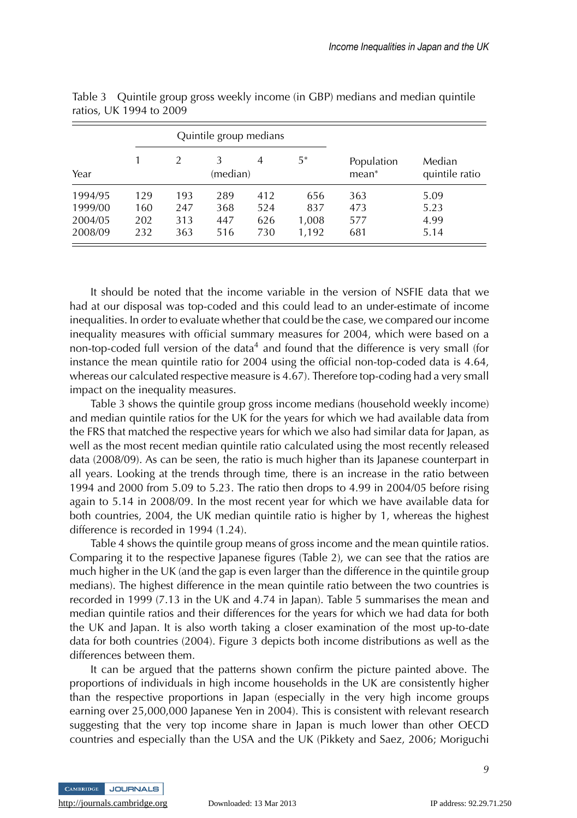|         |     |               | Quintile group medians |     |       |                     |                          |
|---------|-----|---------------|------------------------|-----|-------|---------------------|--------------------------|
| Year    |     | $\mathcal{P}$ | 3<br>(median)          | 4   | 5*    | Population<br>mean* | Median<br>quintile ratio |
| 1994/95 | 129 | 193           | 289                    | 412 | 656   | 363                 | 5.09                     |
| 1999/00 | 160 | 247           | 368                    | 524 | 837   | 473                 | 5.23                     |
| 2004/05 | 202 | 313           | 447                    | 626 | 1,008 | 577                 | 4.99                     |
| 2008/09 | 232 | 363           | 516                    | 730 | 1,192 | 681                 | 5.14                     |

Table 3 Quintile group gross weekly income (in GBP) medians and median quintile ratios, UK 1994 to 2009

It should be noted that the income variable in the version of NSFIE data that we had at our disposal was top-coded and this could lead to an under-estimate of income inequalities. In order to evaluate whether that could be the case, we compared our income inequality measures with official summary measures for 2004, which were based on a non-top-coded full version of the data<sup>4</sup> and found that the difference is very small (for instance the mean quintile ratio for 2004 using the official non-top-coded data is 4.64, whereas our calculated respective measure is 4.67). Therefore top-coding had a very small impact on the inequality measures.

Table 3 shows the quintile group gross income medians (household weekly income) and median quintile ratios for the UK for the years for which we had available data from the FRS that matched the respective years for which we also had similar data for Japan, as well as the most recent median quintile ratio calculated using the most recently released data (2008/09). As can be seen, the ratio is much higher than its Japanese counterpart in all years. Looking at the trends through time, there is an increase in the ratio between 1994 and 2000 from 5.09 to 5.23. The ratio then drops to 4.99 in 2004/05 before rising again to 5.14 in 2008/09. In the most recent year for which we have available data for both countries, 2004, the UK median quintile ratio is higher by 1, whereas the highest difference is recorded in 1994 (1.24).

Table 4 shows the quintile group means of gross income and the mean quintile ratios. Comparing it to the respective Japanese figures (Table 2), we can see that the ratios are much higher in the UK (and the gap is even larger than the difference in the quintile group medians). The highest difference in the mean quintile ratio between the two countries is recorded in 1999 (7.13 in the UK and 4.74 in Japan). Table 5 summarises the mean and median quintile ratios and their differences for the years for which we had data for both the UK and Japan. It is also worth taking a closer examination of the most up-to-date data for both countries (2004). Figure 3 depicts both income distributions as well as the differences between them.

It can be argued that the patterns shown confirm the picture painted above. The proportions of individuals in high income households in the UK are consistently higher than the respective proportions in Japan (especially in the very high income groups earning over 25,000,000 Japanese Yen in 2004). This is consistent with relevant research suggesting that the very top income share in Japan is much lower than other OECD countries and especially than the USA and the UK (Pikkety and Saez, 2006; Moriguchi

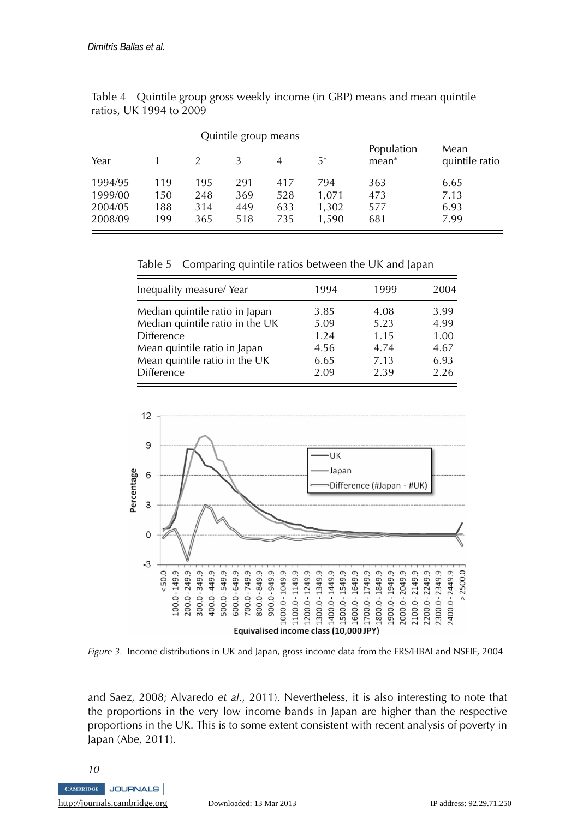|                                          |                          |                          | Quintile group means     |                          |                                |                          |                              |
|------------------------------------------|--------------------------|--------------------------|--------------------------|--------------------------|--------------------------------|--------------------------|------------------------------|
| Year                                     |                          |                          | 3                        | 4                        | $5*$                           | Population<br>$mean*$    | Mean<br>quintile ratio       |
| 1994/95<br>1999/00<br>2004/05<br>2008/09 | 119<br>150<br>188<br>199 | 195<br>248<br>314<br>365 | 291<br>369<br>449<br>518 | 417<br>528<br>633<br>735 | 794<br>1,071<br>1,302<br>1,590 | 363<br>473<br>577<br>681 | 6.65<br>7.13<br>6.93<br>7.99 |

Table 4 Quintile group gross weekly income (in GBP) means and mean quintile ratios, UK 1994 to 2009

Table 5 Comparing quintile ratios between the UK and Japan

| Inequality measure/Year         | 1994 | 1999 | 2004 |
|---------------------------------|------|------|------|
| Median quintile ratio in Japan  | 3.85 | 4.08 | 3.99 |
| Median quintile ratio in the UK | 5.09 | 5.23 | 4.99 |
| <b>Difference</b>               | 1.24 | 1.15 | 1.00 |
| Mean quintile ratio in Japan    | 4.56 | 4.74 | 4.67 |
| Mean quintile ratio in the UK   | 6.65 | 7.13 | 6.93 |
| Difference                      | 2.09 | 2.39 | 2.26 |



*Figure 3.* Income distributions in UK and Japan, gross income data from the FRS/HBAI and NSFIE, 2004

and Saez, 2008; Alvaredo *et al*., 2011). Nevertheless, it is also interesting to note that the proportions in the very low income bands in Japan are higher than the respective proportions in the UK. This is to some extent consistent with recent analysis of poverty in Japan (Abe, 2011).

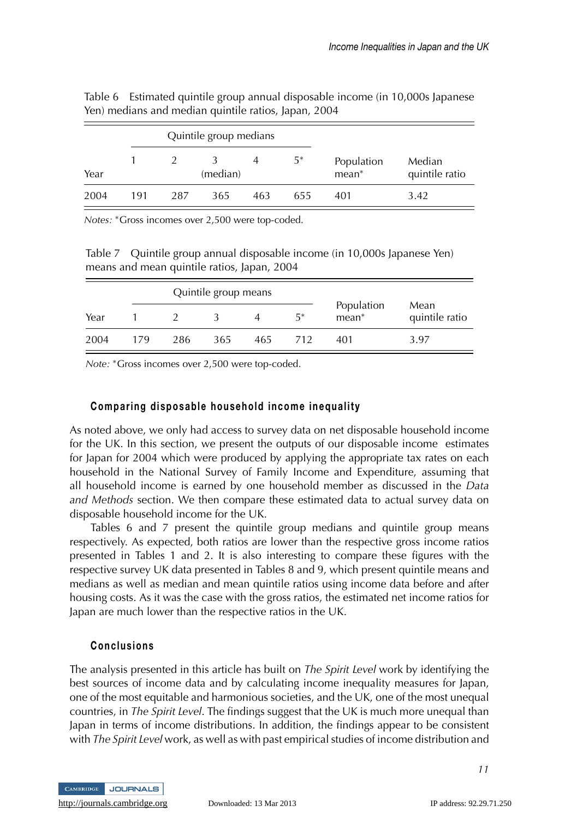|      |     |     | Quintile group medians |     |       |                       |                          |
|------|-----|-----|------------------------|-----|-------|-----------------------|--------------------------|
| Year |     |     | (median)               |     | $5^*$ | Population<br>$mean*$ | Median<br>quintile ratio |
| 2004 | 191 | 287 | 365                    | 463 | 655   | 401                   | 3.42                     |

Table 6 Estimated quintile group annual disposable income (in 10,000s Japanese Yen) medians and median quintile ratios, Japan, 2004

*Notes:* <sup>∗</sup>Gross incomes over 2,500 were top-coded.

Table 7 Quintile group annual disposable income (in 10,000s Japanese Yen) means and mean quintile ratios, Japan, 2004

|      |     |     | Quintile group means |     |     |                     |                        |
|------|-----|-----|----------------------|-----|-----|---------------------|------------------------|
| Year |     |     |                      |     | 5*  | Population<br>mean* | Mean<br>quintile ratio |
| 2004 | 179 | 286 | 365                  | 465 | 712 | 401                 | 3.97                   |

*Note:* <sup>∗</sup>Gross incomes over 2,500 were top-coded.

## **Comparing disposable household income inequality**

As noted above, we only had access to survey data on net disposable household income for the UK. In this section, we present the outputs of our disposable income estimates for Japan for 2004 which were produced by applying the appropriate tax rates on each household in the National Survey of Family Income and Expenditure, assuming that all household income is earned by one household member as discussed in the *Data and Methods* section. We then compare these estimated data to actual survey data on disposable household income for the UK.

Tables 6 and 7 present the quintile group medians and quintile group means respectively. As expected, both ratios are lower than the respective gross income ratios presented in Tables 1 and 2. It is also interesting to compare these figures with the respective survey UK data presented in Tables 8 and 9, which present quintile means and medians as well as median and mean quintile ratios using income data before and after housing costs. As it was the case with the gross ratios, the estimated net income ratios for Japan are much lower than the respective ratios in the UK.

## **Conclusions**

The analysis presented in this article has built on *The Spirit Level* work by identifying the best sources of income data and by calculating income inequality measures for Japan, one of the most equitable and harmonious societies, and the UK, one of the most unequal countries, in *The Spirit Level*. The findings suggest that the UK is much more unequal than Japan in terms of income distributions. In addition, the findings appear to be consistent with *The Spirit Level* work, as well as with past empirical studies of income distribution and

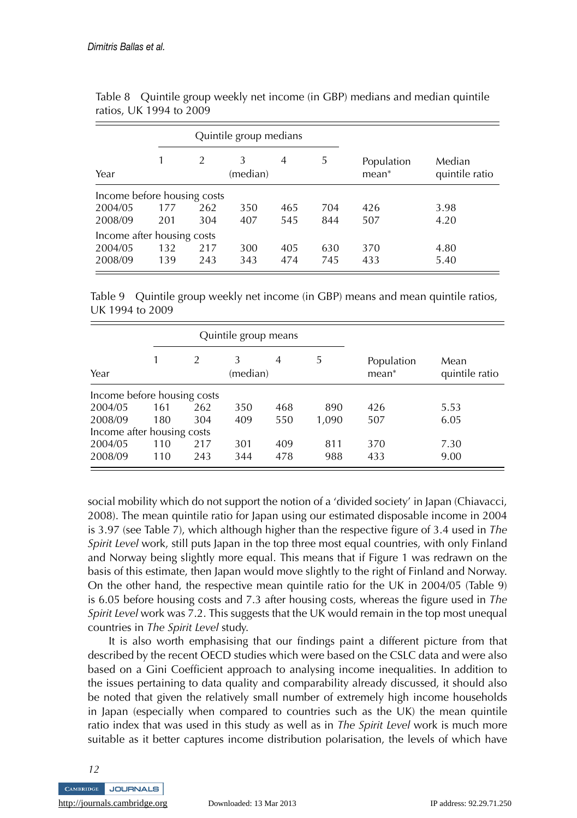|                             |     |     | Quintile group medians |     |     |                        |                          |
|-----------------------------|-----|-----|------------------------|-----|-----|------------------------|--------------------------|
| Year                        |     | 2   | 3<br>(median)          | 4   | 5   | Population<br>$mean^*$ | Median<br>quintile ratio |
| Income before housing costs |     |     |                        |     |     |                        |                          |
| 2004/05                     | 177 | 262 | 350                    | 465 | 704 | 426                    | 3.98                     |
| 2008/09                     | 201 | 304 | 407                    | 545 | 844 | 507                    | 4.20                     |
| Income after housing costs  |     |     |                        |     |     |                        |                          |
| 2004/05                     | 132 | 217 | 300                    | 405 | 630 | 370                    | 4.80                     |
| 2008/09                     | 139 | 243 | 343                    | 474 | 745 | 433                    | 5.40                     |

Table 8 Quintile group weekly net income (in GBP) medians and median quintile ratios, UK 1994 to 2009

Table 9 Quintile group weekly net income (in GBP) means and mean quintile ratios, UK 1994 to 2009

|                             |     |                | Quintile group means |                |       |                       |                        |
|-----------------------------|-----|----------------|----------------------|----------------|-------|-----------------------|------------------------|
| Year                        |     | $\mathfrak{D}$ | 3<br>(median)        | $\overline{4}$ | 5     | Population<br>$mean*$ | Mean<br>quintile ratio |
| Income before housing costs |     |                |                      |                |       |                       |                        |
| 2004/05                     | 161 | 262            | 350                  | 468            | 890   | 426                   | 5.53                   |
| 2008/09                     | 180 | 304            | 409                  | 550            | 1,090 | 507                   | 6.05                   |
| Income after housing costs  |     |                |                      |                |       |                       |                        |
| 2004/05                     | 110 | 217            | 301                  | 409            | 811   | 370                   | 7.30                   |
| 2008/09                     | 110 | 243            | 344                  | 478            | 988   | 433                   | 9.00                   |

social mobility which do not support the notion of a 'divided society' in Japan (Chiavacci, 2008). The mean quintile ratio for Japan using our estimated disposable income in 2004 is 3.97 (see Table 7), which although higher than the respective figure of 3.4 used in *The Spirit Level* work, still puts Japan in the top three most equal countries, with only Finland and Norway being slightly more equal. This means that if Figure 1 was redrawn on the basis of this estimate, then Japan would move slightly to the right of Finland and Norway. On the other hand, the respective mean quintile ratio for the UK in 2004/05 (Table 9) is 6.05 before housing costs and 7.3 after housing costs, whereas the figure used in *The Spirit Level* work was 7.2. This suggests that the UK would remain in the top most unequal countries in *The Spirit Level* study.

It is also worth emphasising that our findings paint a different picture from that described by the recent OECD studies which were based on the CSLC data and were also based on a Gini Coefficient approach to analysing income inequalities. In addition to the issues pertaining to data quality and comparability already discussed, it should also be noted that given the relatively small number of extremely high income households in Japan (especially when compared to countries such as the UK) the mean quintile ratio index that was used in this study as well as in *The Spirit Level* work is much more suitable as it better captures income distribution polarisation, the levels of which have

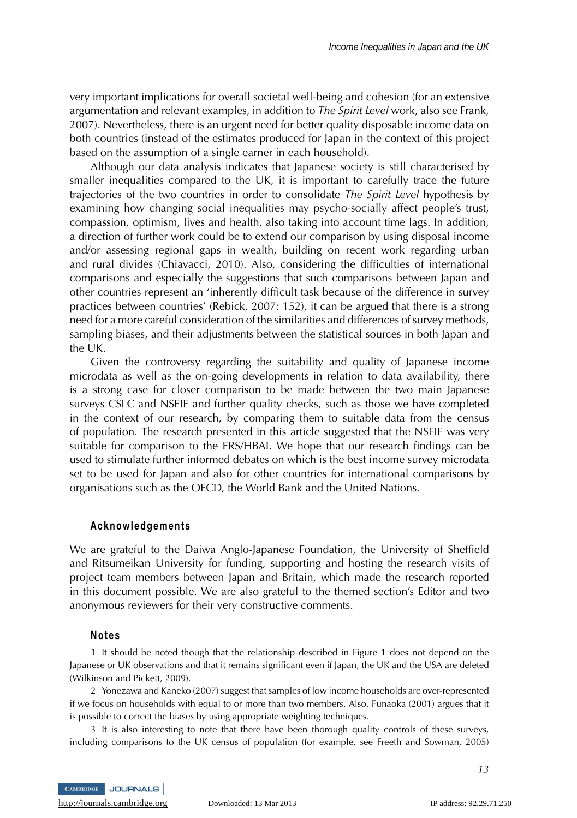very important implications for overall societal well-being and cohesion (for an extensive argumentation and relevant examples, in addition to *The Spirit Level* work, also see Frank, 2007). Nevertheless, there is an urgent need for better quality disposable income data on both countries (instead of the estimates produced for Japan in the context of this project based on the assumption of a single earner in each household).

Although our data analysis indicates that Japanese society is still characterised by smaller inequalities compared to the UK, it is important to carefully trace the future trajectories of the two countries in order to consolidate *The Spirit Level* hypothesis by examining how changing social inequalities may psycho-socially affect people's trust, compassion, optimism, lives and health, also taking into account time lags. In addition, a direction of further work could be to extend our comparison by using disposal income and/or assessing regional gaps in wealth, building on recent work regarding urban and rural divides (Chiavacci, 2010). Also, considering the difficulties of international comparisons and especially the suggestions that such comparisons between Japan and other countries represent an 'inherently difficult task because of the difference in survey practices between countries' (Rebick, 2007: 152), it can be argued that there is a strong need for a more careful consideration of the similarities and differences of survey methods, sampling biases, and their adjustments between the statistical sources in both Japan and the UK.

Given the controversy regarding the suitability and quality of Japanese income microdata as well as the on-going developments in relation to data availability, there is a strong case for closer comparison to be made between the two main Japanese surveys CSLC and NSFIE and further quality checks, such as those we have completed in the context of our research, by comparing them to suitable data from the census of population. The research presented in this article suggested that the NSFIE was very suitable for comparison to the FRS/HBAI. We hope that our research findings can be used to stimulate further informed debates on which is the best income survey microdata set to be used for Japan and also for other countries for international comparisons by organisations such as the OECD, the World Bank and the United Nations.

#### **Acknowledgements**

We are grateful to the Daiwa Anglo-Japanese Foundation, the University of Sheffield and Ritsumeikan University for funding, supporting and hosting the research visits of project team members between Japan and Britain, which made the research reported in this document possible. We are also grateful to the themed section's Editor and two anonymous reviewers for their very constructive comments.

#### **Notes**

1 It should be noted though that the relationship described in Figure 1 does not depend on the Japanese or UK observations and that it remains significant even if Japan, the UK and the USA are deleted (Wilkinson and Pickett, 2009).

2 Yonezawa and Kaneko (2007) suggest that samples of low income households are over-represented if we focus on households with equal to or more than two members. Also, Funaoka (2001) argues that it is possible to correct the biases by using appropriate weighting techniques.

3 It is also interesting to note that there have been thorough quality controls of these surveys, including comparisons to the UK census of population (for example, see Freeth and Sowman, 2005)

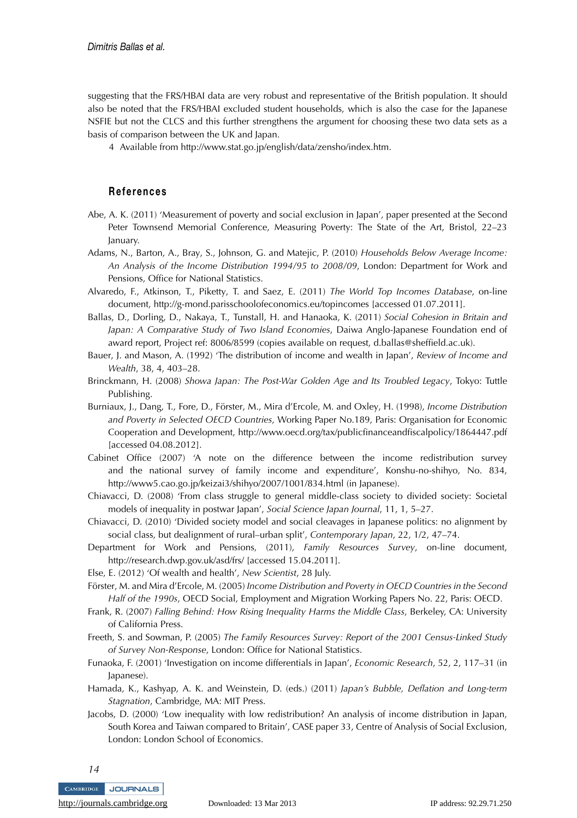suggesting that the FRS/HBAI data are very robust and representative of the British population. It should also be noted that the FRS/HBAI excluded student households, which is also the case for the Japanese NSFIE but not the CLCS and this further strengthens the argument for choosing these two data sets as a basis of comparison between the UK and Japan.

4 Available from http://www.stat.go.jp/english/data/zensho/index.htm.

#### **References**

- Abe, A. K. (2011) 'Measurement of poverty and social exclusion in Japan', paper presented at the Second Peter Townsend Memorial Conference, Measuring Poverty: The State of the Art, Bristol, 22–23 January.
- Adams, N., Barton, A., Bray, S., Johnson, G. and Matejic, P. (2010) *Households Below Average Income: An Analysis of the Income Distribution 1994/95 to 2008/09*, London: Department for Work and Pensions, Office for National Statistics.
- Alvaredo, F., Atkinson, T., Piketty, T. and Saez, E. (2011) *The World Top Incomes Database*, on-line document, http://g-mond.parisschoolofeconomics.eu/topincomes [accessed 01.07.2011].
- Ballas, D., Dorling, D., Nakaya, T., Tunstall, H. and Hanaoka, K. (2011) *Social Cohesion in Britain and Japan: A Comparative Study of Two Island Economies*, Daiwa Anglo-Japanese Foundation end of award report, Project ref: 8006/8599 (copies available on request, d.ballas@sheffield.ac.uk).
- Bauer, J. and Mason, A. (1992) 'The distribution of income and wealth in Japan', *Review of Income and Wealth*, 38, 4, 403–28.
- Brinckmann, H. (2008) *Showa Japan: The Post-War Golden Age and Its Troubled Legacy*, Tokyo: Tuttle Publishing.
- Burniaux, J., Dang, T., Fore, D., Förster, M., Mira d'Ercole, M. and Oxley, H. (1998), *Income Distribution and Poverty in Selected OECD Countries*, Working Paper No.189, Paris: Organisation for Economic Cooperation and Development, http://www.oecd.org/tax/publicfinanceandfiscalpolicy/1864447.pdf [accessed 04.08.2012].
- Cabinet Office (2007) 'A note on the difference between the income redistribution survey and the national survey of family income and expenditure', Konshu-no-shihyo, No. 834, http://www5.cao.go.jp/keizai3/shihyo/2007/1001/834.html (in Japanese).
- Chiavacci, D. (2008) 'From class struggle to general middle-class society to divided society: Societal models of inequality in postwar Japan', *Social Science Japan Journal*, 11, 1, 5–27.
- Chiavacci, D. (2010) 'Divided society model and social cleavages in Japanese politics: no alignment by social class, but dealignment of rural–urban split', *Contemporary Japan*, 22, 1/2, 47–74.
- Department for Work and Pensions, (2011), *Family Resources Survey*, on-line document, http://research.dwp.gov.uk/asd/frs/ [accessed 15.04.2011].
- Else, E. (2012) 'Of wealth and health', *New Scientist*, 28 July.

Förster, M. and Mira d'Ercole, M. (2005) Income Distribution and Poverty in OECD Countries in the Second *Half of the 1990s*, OECD Social, Employment and Migration Working Papers No. 22, Paris: OECD.

- Frank, R. (2007) *Falling Behind: How Rising Inequality Harms the Middle Class*, Berkeley, CA: University of California Press.
- Freeth, S. and Sowman, P. (2005) *The Family Resources Survey: Report of the 2001 Census-Linked Study of Survey Non-Response*, London: Office for National Statistics.
- Funaoka, F. (2001) 'Investigation on income differentials in Japan', *Economic Research*, 52, 2, 117–31 (in Japanese).
- Hamada, K., Kashyap, A. K. and Weinstein, D. (eds.) (2011) *Japan's Bubble, Deflation and Long-term Stagnation*, Cambridge, MA: MIT Press.
- Jacobs, D. (2000) 'Low inequality with low redistribution? An analysis of income distribution in Japan, South Korea and Taiwan compared to Britain', CASE paper 33, Centre of Analysis of Social Exclusion, London: London School of Economics.